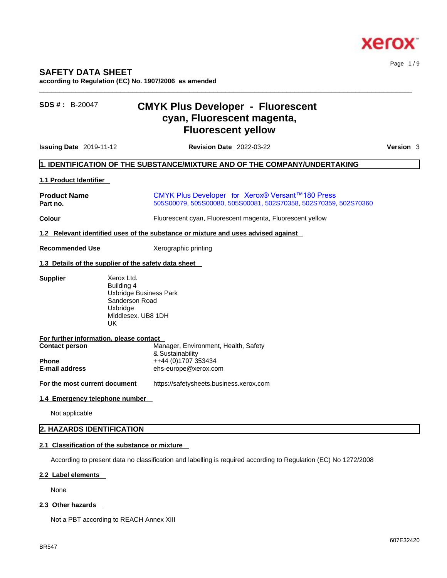

Page 1 / 9

## **SAFETY DATA SHEET**

**according to Regulation (EC) No. 1907/2006 as amended** 

# **SDS # :** B-20047 **CMYK Plus Developer - Fluorescent cyan, Fluorescent magenta, Fluorescent yellow**

**Issuing Date** 2019-11-12 **Revision Date** 2022-03-22 **Version** 3

 $\_$  ,  $\_$  ,  $\_$  ,  $\_$  ,  $\_$  ,  $\_$  ,  $\_$  ,  $\_$  ,  $\_$  ,  $\_$  ,  $\_$  ,  $\_$  ,  $\_$  ,  $\_$  ,  $\_$  ,  $\_$  ,  $\_$  ,  $\_$  ,  $\_$  ,  $\_$  ,  $\_$  ,  $\_$  ,  $\_$  ,  $\_$  ,  $\_$  ,  $\_$  ,  $\_$  ,  $\_$  ,  $\_$  ,  $\_$  ,  $\_$  ,  $\_$  ,  $\_$  ,  $\_$  ,  $\_$  ,  $\_$  ,  $\_$  ,

## **1. IDENTIFICATION OF THE SUBSTANCE/MIXTURE AND OF THE COMPANY/UNDERTAKING**

## **1.1 Product Identifier**

| <b>Product Name</b> | CMYK Plus Developer for Xerox® Versant™180 Press                 |
|---------------------|------------------------------------------------------------------|
| Part no.            | 505S00079, 505S00080, 505S00081, 502S70358, 502S70359, 502S70360 |

**Colour** Fluorescent cyan, Fluorescent magenta, Fluorescent yellow

### **1.2 Relevant identified uses of the substance or mixture and uses advised against**

#### **Recommended Use** Xerographic printing

### **1.3 Details of the supplier of the safety data sheet**

| Xerox Ltd.                              |
|-----------------------------------------|
| Building 4                              |
| Uxbridge Business Park                  |
| Sanderson Road                          |
| Uxbridge                                |
| Middlesex, UB8 1DH                      |
| UK                                      |
|                                         |
| For further information, please contact |
| Manager, Environment, Health, Safety    |
| & Sustainability                        |
| ++44 (0)1707 353434                     |
| ehs-europe@xerox.com                    |
|                                         |

**For the most current document** https://safetysheets.business.xerox.com

#### **1.4 Emergency telephone number**

Not applicable

## **2. HAZARDS IDENTIFICATION**

## **2.1 Classification of the substance or mixture**

According to present data no classification and labelling is required according to Regulation (EC) No 1272/2008

## **2.2 Label elements**

None

## **2.3 Other hazards**

Not a PBT according to REACH Annex XIII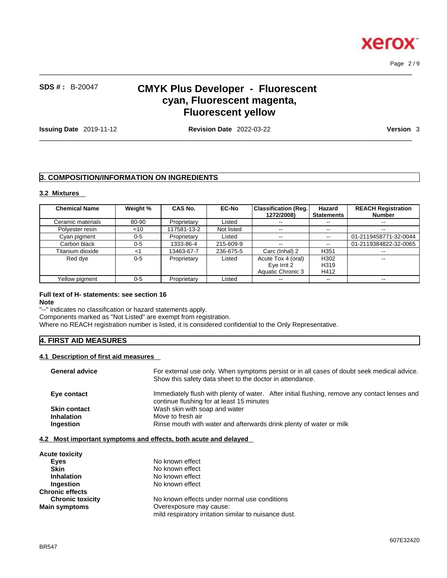

# **SDS # :** B-20047 **CMYK Plus Developer - Fluorescent cyan, Fluorescent magenta, Fluorescent yellow**

 $\_$  ,  $\_$  ,  $\_$  ,  $\_$  ,  $\_$  ,  $\_$  ,  $\_$  ,  $\_$  ,  $\_$  ,  $\_$  ,  $\_$  ,  $\_$  ,  $\_$  ,  $\_$  ,  $\_$  ,  $\_$  ,  $\_$  ,  $\_$  ,  $\_$  ,  $\_$  ,  $\_$  ,  $\_$  ,  $\_$  ,  $\_$  ,  $\_$  ,  $\_$  ,  $\_$  ,  $\_$  ,  $\_$  ,  $\_$  ,  $\_$  ,  $\_$  ,  $\_$  ,  $\_$  ,  $\_$  ,  $\_$  ,  $\_$  ,

**Issuing Date** 2019-11-12 **Revision Date** 2022-03-22 **Version** 3

 $\_$  ,  $\_$  ,  $\_$  ,  $\_$  ,  $\_$  ,  $\_$  ,  $\_$  ,  $\_$  ,  $\_$  ,  $\_$  ,  $\_$  ,  $\_$  ,  $\_$  ,  $\_$  ,  $\_$  ,  $\_$  ,  $\_$  ,  $\_$  ,  $\_$  ,  $\_$  ,  $\_$  ,  $\_$  ,  $\_$  ,  $\_$  ,  $\_$  ,  $\_$  ,  $\_$  ,  $\_$  ,  $\_$  ,  $\_$  ,  $\_$  ,  $\_$  ,  $\_$  ,  $\_$  ,  $\_$  ,  $\_$  ,  $\_$  ,

Page 2 / 9

## **3. COMPOSITION/INFORMATION ON INGREDIENTS**

## **3.2 Mixtures**

| <b>Chemical Name</b> | Weight % | CAS No.     | <b>EC-No</b> | <b>Classification (Reg.)</b><br>1272/2008) | Hazard<br><b>Statements</b> | <b>REACH Registration</b><br><b>Number</b> |
|----------------------|----------|-------------|--------------|--------------------------------------------|-----------------------------|--------------------------------------------|
| Ceramic materials    | 80-90    | Proprietary | Listed       | $- -$                                      | $-1$                        | --                                         |
| Polyester resin      | $<$ 10   | 117581-13-2 | Not listed   | $\sim$ $\sim$                              | $\sim$ $\sim$               | $- -$                                      |
| Cyan pigment         | $0 - 5$  | Proprietary | Listed       | $\sim$ $\sim$                              | $\sim$ $\sim$               | 01-2119458771-32-0044                      |
| Carbon black         | $0 - 5$  | 1333-86-4   | 215-609-9    | $- -$                                      |                             | 01-2119384822-32-0065                      |
| Titanium dioxide     | ا>       | 13463-67-7  | 236-675-5    | Carc (Inhal) 2                             | H <sub>351</sub>            | $- -$                                      |
| Red dve              | $0 - 5$  | Proprietary | Listed       | Acute Tox 4 (oral)                         | H302                        | $-$                                        |
|                      |          |             |              | Eye Irrit 2                                | H319                        |                                            |
|                      |          |             |              | Aquatic Chronic 3                          | H412                        |                                            |
| Yellow pigment       | $0 - 5$  | Proprietary | Listed       | $- -$                                      | $\sim$ $\sim$               | $\overline{\phantom{a}}$                   |

## **Full text of H- statements: see section 16**

**Note**

BR547

"--" indicates no classification or hazard statements apply.

Components marked as "Not Listed" are exempt from registration.

Where no REACH registration number is listed, it is considered confidential to the Only Representative.

## **4. FIRST AID MEASURES**

## **4.1 Description of first aid measures**

| <b>General advice</b> | For external use only. When symptoms persist or in all cases of doubt seek medical advice.<br>Show this safety data sheet to the doctor in attendance. |
|-----------------------|--------------------------------------------------------------------------------------------------------------------------------------------------------|
| Eye contact           | Immediately flush with plenty of water. After initial flushing, remove any contact lenses and<br>continue flushing for at least 15 minutes             |
| <b>Skin contact</b>   | Wash skin with soap and water                                                                                                                          |
| <b>Inhalation</b>     | Move to fresh air                                                                                                                                      |
| <b>Ingestion</b>      | Rinse mouth with water and afterwards drink plenty of water or milk                                                                                    |

#### **4.2 Most important symptoms and effects, both acute and delayed**

| <b>Acute toxicity</b>   |                                                       |
|-------------------------|-------------------------------------------------------|
| <b>Eves</b>             | No known effect                                       |
| Skin                    | No known effect                                       |
| <b>Inhalation</b>       | No known effect                                       |
| Ingestion               | No known effect                                       |
| <b>Chronic effects</b>  |                                                       |
| <b>Chronic toxicity</b> | No known effects under normal use conditions          |
| <b>Main symptoms</b>    | Overexposure may cause:                               |
|                         | mild respiratory irritation similar to nuisance dust. |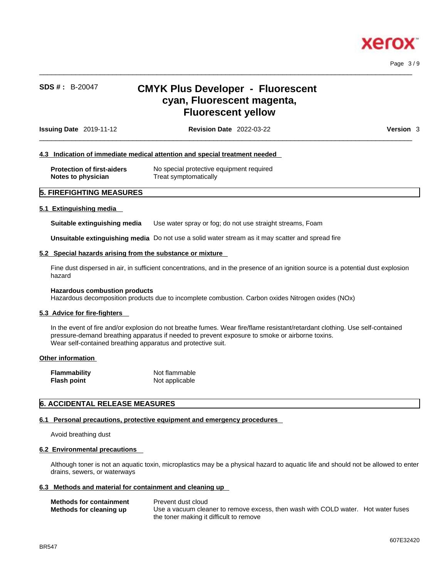

Page 3 / 9

# **SDS # :** B-20047 **CMYK Plus Developer - Fluorescent cyan, Fluorescent magenta, Fluorescent yellow**

 $\_$  ,  $\_$  ,  $\_$  ,  $\_$  ,  $\_$  ,  $\_$  ,  $\_$  ,  $\_$  ,  $\_$  ,  $\_$  ,  $\_$  ,  $\_$  ,  $\_$  ,  $\_$  ,  $\_$  ,  $\_$  ,  $\_$  ,  $\_$  ,  $\_$  ,  $\_$  ,  $\_$  ,  $\_$  ,  $\_$  ,  $\_$  ,  $\_$  ,  $\_$  ,  $\_$  ,  $\_$  ,  $\_$  ,  $\_$  ,  $\_$  ,  $\_$  ,  $\_$  ,  $\_$  ,  $\_$  ,  $\_$  ,  $\_$  ,

|                                   | 4.3 Indication of immediate medical attention and special treatment needed |  |
|-----------------------------------|----------------------------------------------------------------------------|--|
| <b>Protection of first-aiders</b> | No special protective equipment required                                   |  |
| Notes to physician                | Treat symptomatically                                                      |  |

# **5.1 Extinguishing media**

**Suitable extinguishing media** Use water spray or fog; do not use straight streams, Foam

**Unsuitable extinguishing media** Do not use a solid water stream as it may scatterand spread fire

### **5.2 Special hazards arising from the substance or mixture**

Fine dust dispersed in air, in sufficient concentrations, and in the presence of an ignition source is a potential dust explosion hazard

#### **Hazardous combustion products**

Hazardous decomposition products due to incomplete combustion. Carbon oxides Nitrogen oxides (NOx)

#### **5.3 Advice for fire-fighters**

In the event of fire and/or explosion do not breathe fumes. Wear fire/flame resistant/retardant clothing. Use self-contained pressure-demand breathing apparatus if needed to prevent exposure to smoke or airborne toxins. Wear self-contained breathing apparatus and protective suit.

#### **Other information**

| <b>Flammability</b> | Not flammable  |
|---------------------|----------------|
| <b>Flash point</b>  | Not applicable |

### **6. ACCIDENTAL RELEASE MEASURES**

#### **6.1 Personal precautions, protective equipment and emergency procedures**

Avoid breathing dust

#### **6.2 Environmental precautions**

Although toner is not an aquatic toxin, microplastics may be a physical hazard to aquatic life and should not be allowed to enter drains, sewers, or waterways

#### **6.3 Methods and material for containment and cleaning up**

| <b>Methods for containment</b><br>Methods for cleaning up | Prevent dust cloud<br>Use a vacuum cleaner to remove excess, then wash with COLD water. Hot water fuses |  |
|-----------------------------------------------------------|---------------------------------------------------------------------------------------------------------|--|
|                                                           | the toner making it difficult to remove                                                                 |  |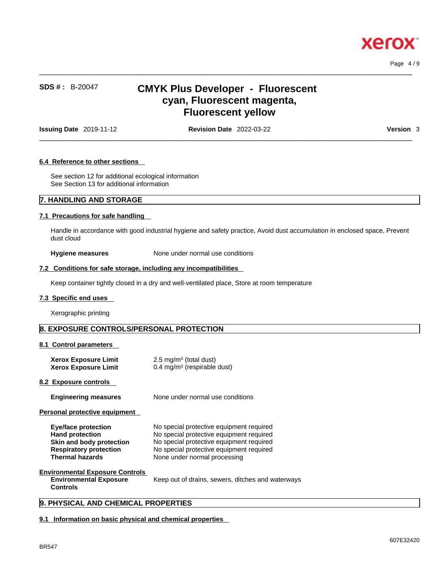

# **SDS # :** B-20047 **CMYK Plus Developer - Fluorescent cyan, Fluorescent magenta, Fluorescent yellow**

**Issuing Date** 2019-11-12 **Revision Date** 2022-03-22 **Version** 3

 $\_$  ,  $\_$  ,  $\_$  ,  $\_$  ,  $\_$  ,  $\_$  ,  $\_$  ,  $\_$  ,  $\_$  ,  $\_$  ,  $\_$  ,  $\_$  ,  $\_$  ,  $\_$  ,  $\_$  ,  $\_$  ,  $\_$  ,  $\_$  ,  $\_$  ,  $\_$  ,  $\_$  ,  $\_$  ,  $\_$  ,  $\_$  ,  $\_$  ,  $\_$  ,  $\_$  ,  $\_$  ,  $\_$  ,  $\_$  ,  $\_$  ,  $\_$  ,  $\_$  ,  $\_$  ,  $\_$  ,  $\_$  ,  $\_$  ,

 $\_$  ,  $\_$  ,  $\_$  ,  $\_$  ,  $\_$  ,  $\_$  ,  $\_$  ,  $\_$  ,  $\_$  ,  $\_$  ,  $\_$  ,  $\_$  ,  $\_$  ,  $\_$  ,  $\_$  ,  $\_$  ,  $\_$  ,  $\_$  ,  $\_$  ,  $\_$  ,  $\_$  ,  $\_$  ,  $\_$  ,  $\_$  ,  $\_$  ,  $\_$  ,  $\_$  ,  $\_$  ,  $\_$  ,  $\_$  ,  $\_$  ,  $\_$  ,  $\_$  ,  $\_$  ,  $\_$  ,  $\_$  ,  $\_$  ,

Page 4 / 9

### **6.4 Reference to other sections**

See section 12 for additional ecological information See Section 13 for additional information

## **7. HANDLING AND STORAGE**

## **7.1 Precautions for safe handling**

Handle in accordance with good industrial hygiene and safety practice, Avoid dust accumulation in enclosed space, Prevent dust cloud

**Hygiene measures** None under normal use conditions

### **7.2 Conditions for safe storage, including any incompatibilities**

Keep container tightly closed in a dry and well-ventilated place, Store at room temperature

#### **7.3 Specific end uses**

Xerographic printing

## **8. EXPOSURE CONTROLS/PERSONAL PROTECTION**

#### **8.1 Control parameters**

| <b>Xerox Exposure Limit</b><br><b>Xerox Exposure Limit</b>                                                                                  | $2.5 \text{ mg/m}^3$ (total dust)<br>0.4 mg/m <sup>3</sup> (respirable dust)                                                                                                                                 |
|---------------------------------------------------------------------------------------------------------------------------------------------|--------------------------------------------------------------------------------------------------------------------------------------------------------------------------------------------------------------|
| <b>8.2 Exposure controls</b>                                                                                                                |                                                                                                                                                                                                              |
| <b>Engineering measures</b>                                                                                                                 | None under normal use conditions                                                                                                                                                                             |
| Personal protective equipment                                                                                                               |                                                                                                                                                                                                              |
| <b>Eye/face protection</b><br><b>Hand protection</b><br>Skin and body protection<br><b>Respiratory protection</b><br><b>Thermal hazards</b> | No special protective equipment required<br>No special protective equipment required<br>No special protective equipment required<br>No special protective equipment required<br>None under normal processing |
| <b>Environmental Exposure Controls</b><br><b>Environmental Exposure</b><br><b>Controls</b>                                                  | Keep out of drains, sewers, ditches and waterways                                                                                                                                                            |

## **9. PHYSICAL AND CHEMICAL PROPERTIES**

#### **9.1 Information on basic physical and chemical properties**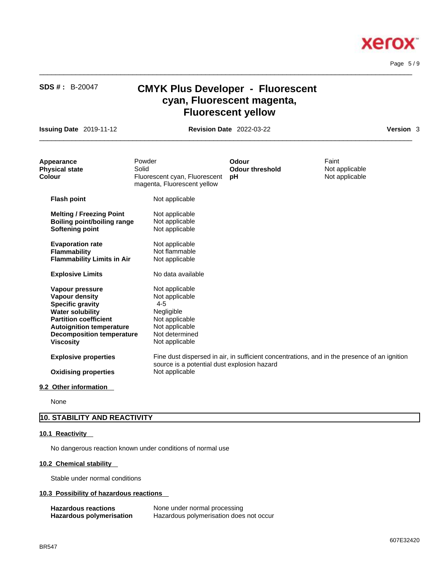Page 5 / 9

**Xerox** 

# **SDS # :** B-20047 **CMYK Plus Developer - Fluorescent cyan, Fluorescent magenta, Fluorescent yellow**

 $\_$  ,  $\_$  ,  $\_$  ,  $\_$  ,  $\_$  ,  $\_$  ,  $\_$  ,  $\_$  ,  $\_$  ,  $\_$  ,  $\_$  ,  $\_$  ,  $\_$  ,  $\_$  ,  $\_$  ,  $\_$  ,  $\_$  ,  $\_$  ,  $\_$  ,  $\_$  ,  $\_$  ,  $\_$  ,  $\_$  ,  $\_$  ,  $\_$  ,  $\_$  ,  $\_$  ,  $\_$  ,  $\_$  ,  $\_$  ,  $\_$  ,  $\_$  ,  $\_$  ,  $\_$  ,  $\_$  ,  $\_$  ,  $\_$  ,

**Issuing Date** 2019-11-12 **Revision Date** 2022-03-22 **Version** 3

 $\_$  ,  $\_$  ,  $\_$  ,  $\_$  ,  $\_$  ,  $\_$  ,  $\_$  ,  $\_$  ,  $\_$  ,  $\_$  ,  $\_$  ,  $\_$  ,  $\_$  ,  $\_$  ,  $\_$  ,  $\_$  ,  $\_$  ,  $\_$  ,  $\_$  ,  $\_$  ,  $\_$  ,  $\_$  ,  $\_$  ,  $\_$  ,  $\_$  ,  $\_$  ,  $\_$  ,  $\_$  ,  $\_$  ,  $\_$  ,  $\_$  ,  $\_$  ,  $\_$  ,  $\_$  ,  $\_$  ,  $\_$  ,  $\_$  ,

| Appearance<br><b>Physical state</b><br>Colour                                                                                                                                                                      | Powder<br>Solid<br>Fluorescent cyan, Fluorescent<br>magenta, Fluorescent yellow                                                   | Odour<br><b>Odour threshold</b><br>рH | Faint<br>Not applicable<br>Not applicable                                                    |  |
|--------------------------------------------------------------------------------------------------------------------------------------------------------------------------------------------------------------------|-----------------------------------------------------------------------------------------------------------------------------------|---------------------------------------|----------------------------------------------------------------------------------------------|--|
| <b>Flash point</b>                                                                                                                                                                                                 | Not applicable                                                                                                                    |                                       |                                                                                              |  |
| <b>Melting / Freezing Point</b><br><b>Boiling point/boiling range</b><br><b>Softening point</b>                                                                                                                    | Not applicable<br>Not applicable<br>Not applicable                                                                                |                                       |                                                                                              |  |
| <b>Evaporation rate</b><br><b>Flammability</b><br><b>Flammability Limits in Air</b>                                                                                                                                | Not applicable<br>Not flammable<br>Not applicable                                                                                 |                                       |                                                                                              |  |
| <b>Explosive Limits</b>                                                                                                                                                                                            | No data available                                                                                                                 |                                       |                                                                                              |  |
| Vapour pressure<br>Vapour density<br><b>Specific gravity</b><br><b>Water solubility</b><br><b>Partition coefficient</b><br><b>Autoignition temperature</b><br><b>Decomposition temperature</b><br><b>Viscosity</b> | Not applicable<br>Not applicable<br>$4 - 5$<br>Negligible<br>Not applicable<br>Not applicable<br>Not determined<br>Not applicable |                                       |                                                                                              |  |
| <b>Explosive properties</b>                                                                                                                                                                                        | source is a potential dust explosion hazard                                                                                       |                                       | Fine dust dispersed in air, in sufficient concentrations, and in the presence of an ignition |  |
| <b>Oxidising properties</b>                                                                                                                                                                                        | Not applicable                                                                                                                    |                                       |                                                                                              |  |

**9.2 Other information** 

None

# **10. STABILITY AND REACTIVITY**

## **10.1 Reactivity**

No dangerous reaction known under conditions of normal use

## **10.2 Chemical stability**

Stable under normal conditions

## **10.3 Possibility of hazardous reactions**

| <b>Hazardous reactions</b> | None under normal processing            |
|----------------------------|-----------------------------------------|
| Hazardous polymerisation   | Hazardous polymerisation does not occur |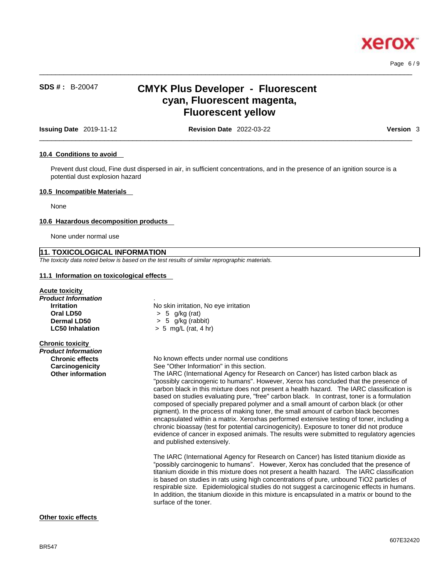

Page 6 / 9

# **SDS # :** B-20047 **CMYK Plus Developer - Fluorescent cyan, Fluorescent magenta, Fluorescent yellow**

 $\_$  ,  $\_$  ,  $\_$  ,  $\_$  ,  $\_$  ,  $\_$  ,  $\_$  ,  $\_$  ,  $\_$  ,  $\_$  ,  $\_$  ,  $\_$  ,  $\_$  ,  $\_$  ,  $\_$  ,  $\_$  ,  $\_$  ,  $\_$  ,  $\_$  ,  $\_$  ,  $\_$  ,  $\_$  ,  $\_$  ,  $\_$  ,  $\_$  ,  $\_$  ,  $\_$  ,  $\_$  ,  $\_$  ,  $\_$  ,  $\_$  ,  $\_$  ,  $\_$  ,  $\_$  ,  $\_$  ,  $\_$  ,  $\_$  ,

**Issuing Date** 2019-11-12 **Revision Date** 2022-03-22 **Version** 3

 $\_$  ,  $\_$  ,  $\_$  ,  $\_$  ,  $\_$  ,  $\_$  ,  $\_$  ,  $\_$  ,  $\_$  ,  $\_$  ,  $\_$  ,  $\_$  ,  $\_$  ,  $\_$  ,  $\_$  ,  $\_$  ,  $\_$  ,  $\_$  ,  $\_$  ,  $\_$  ,  $\_$  ,  $\_$  ,  $\_$  ,  $\_$  ,  $\_$  ,  $\_$  ,  $\_$  ,  $\_$  ,  $\_$  ,  $\_$  ,  $\_$  ,  $\_$  ,  $\_$  ,  $\_$  ,  $\_$  ,  $\_$  ,  $\_$  ,

#### **10.4 Conditions to avoid**

Prevent dust cloud, Fine dust dispersed in air, in sufficient concentrations, and in the presence of an ignition source is a potential dust explosion hazard

#### **10.5 Incompatible Materials**

None

#### **10.6 Hazardous decomposition products**

None under normal use

## **11. TOXICOLOGICAL INFORMATION**

*The toxicity data noted below is based on the test results of similar reprographic materials.* 

### **11.1 Information on toxicological effects**

### **Acute toxicity**

*Product Information* . **Oral LD50** > 5 g/kg (rat)

**Irritation**<br> **Oral LD50**<br>  $>$  5 g/kg (rat)<br>  $>$  5 g/kg (rat) **Dermal LD50**  $\rightarrow$  5 g/kg (rabbit)<br> **LC50 Inhalation**  $\rightarrow$  5 mg/L (rat, 4 hi **LC50 Inhalation** > 5 mg/L (rat, 4 hr)

## **Chronic toxicity**

| <b>UNTONIC TOXICITY</b>  |                                                                                                                                                                                                                                                                                                                                                                                                                                                                                                                                                                                                                                                                                                                                                                                                                                                                     |
|--------------------------|---------------------------------------------------------------------------------------------------------------------------------------------------------------------------------------------------------------------------------------------------------------------------------------------------------------------------------------------------------------------------------------------------------------------------------------------------------------------------------------------------------------------------------------------------------------------------------------------------------------------------------------------------------------------------------------------------------------------------------------------------------------------------------------------------------------------------------------------------------------------|
| Product Information      |                                                                                                                                                                                                                                                                                                                                                                                                                                                                                                                                                                                                                                                                                                                                                                                                                                                                     |
| <b>Chronic effects</b>   | No known effects under normal use conditions                                                                                                                                                                                                                                                                                                                                                                                                                                                                                                                                                                                                                                                                                                                                                                                                                        |
| Carcinogenicity          | See "Other Information" in this section.                                                                                                                                                                                                                                                                                                                                                                                                                                                                                                                                                                                                                                                                                                                                                                                                                            |
| <b>Other information</b> | The IARC (International Agency for Research on Cancer) has listed carbon black as<br>"possibly carcinogenic to humans". However, Xerox has concluded that the presence of<br>carbon black in this mixture does not present a health hazard. The IARC classification is<br>based on studies evaluating pure, "free" carbon black. In contrast, toner is a formulation<br>composed of specially prepared polymer and a small amount of carbon black (or other<br>pigment). In the process of making toner, the small amount of carbon black becomes<br>encapsulated within a matrix. Xeroxhas performed extensive testing of toner, including a<br>chronic bioassay (test for potential carcinogenicity). Exposure to toner did not produce<br>evidence of cancer in exposed animals. The results were submitted to regulatory agencies<br>and published extensively. |
|                          | The IARC (International Agency for Research on Cancer) has listed titanium dioxide as<br>"possibly carcinogenic to humans". However, Xerox has concluded that the presence of<br>titanium dioxide in this mixture does not present a health hazard. The IARC classification<br>is based on studies in rats using high concentrations of pure, unbound TiO2 particles of<br>respirable size. Epidemiological studies do not suggest a carcinogenic effects in humans.<br>In addition, the titanium dioxide in this mixture is encapsulated in a matrix or bound to the<br>surface of the toner.                                                                                                                                                                                                                                                                      |
|                          |                                                                                                                                                                                                                                                                                                                                                                                                                                                                                                                                                                                                                                                                                                                                                                                                                                                                     |

## **Other toxic effects**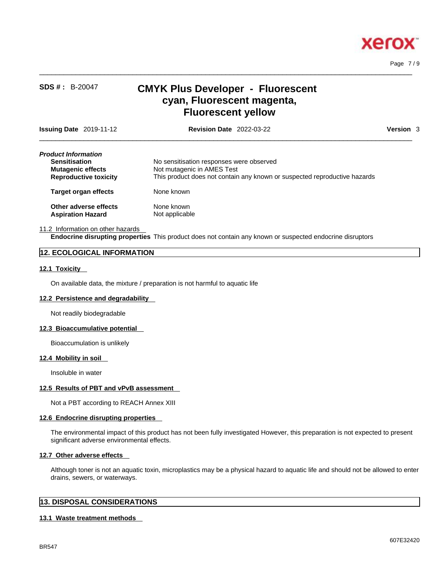

Page 7 / 9

# **SDS # :** B-20047 **CMYK Plus Developer - Fluorescent cyan, Fluorescent magenta, Fluorescent yellow**

 $\_$  ,  $\_$  ,  $\_$  ,  $\_$  ,  $\_$  ,  $\_$  ,  $\_$  ,  $\_$  ,  $\_$  ,  $\_$  ,  $\_$  ,  $\_$  ,  $\_$  ,  $\_$  ,  $\_$  ,  $\_$  ,  $\_$  ,  $\_$  ,  $\_$  ,  $\_$  ,  $\_$  ,  $\_$  ,  $\_$  ,  $\_$  ,  $\_$  ,  $\_$  ,  $\_$  ,  $\_$  ,  $\_$  ,  $\_$  ,  $\_$  ,  $\_$  ,  $\_$  ,  $\_$  ,  $\_$  ,  $\_$  ,  $\_$  ,

 $\_$  ,  $\_$  ,  $\_$  ,  $\_$  ,  $\_$  ,  $\_$  ,  $\_$  ,  $\_$  ,  $\_$  ,  $\_$  ,  $\_$  ,  $\_$  ,  $\_$  ,  $\_$  ,  $\_$  ,  $\_$  ,  $\_$  ,  $\_$  ,  $\_$  ,  $\_$  ,  $\_$  ,  $\_$  ,  $\_$  ,  $\_$  ,  $\_$  ,  $\_$  ,  $\_$  ,  $\_$  ,  $\_$  ,  $\_$  ,  $\_$  ,  $\_$  ,  $\_$  ,  $\_$  ,  $\_$  ,  $\_$  ,  $\_$  , **Issuing Date** 2019-11-12 **Revision Date** 2022-03-22 **Version** 3 *Product Information*  **Sensitisation** Mo sensitisation responses were observed **Mutagenic effects** Not mutagenic in AMES Test **Reproductive toxicity** This product does not contain any known or suspected reproductive hazards **Target organ effects** None known

**Other adverse effects** None known<br> **Aspiration Hazard** Not applicable **Aspiration Hazard** 

11.2 Information on other hazards

**Endocrine disrupting properties** This product does not contain any known or suspected endocrine disruptors

## **12. ECOLOGICAL INFORMATION**

## **12.1 Toxicity**

On available data, the mixture / preparation is not harmful to aquatic life

### **12.2 Persistence and degradability**

Not readily biodegradable

#### **12.3 Bioaccumulative potential**

Bioaccumulation is unlikely

#### **12.4 Mobility in soil**

Insoluble in water

#### **12.5 Results of PBT and vPvB assessment**

Not a PBT according to REACH Annex XIII

### **12.6 Endocrine disrupting properties**

The environmental impact of this product has not been fully investigated However, this preparation is not expected to present significant adverse environmental effects.

#### **12.7 Other adverse effects**

Although toner is not an aquatic toxin, microplastics may be a physical hazard to aquatic life and should not be allowed to enter drains, sewers, or waterways.

## **13. DISPOSAL CONSIDERATIONS**

### **13.1 Waste treatment methods**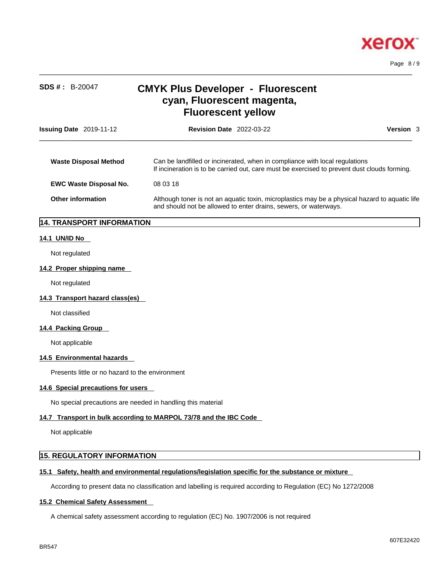

| <b>SDS #: B-20047</b>                           | <b>CMYK Plus Developer - Fluorescent</b><br>cyan, Fluorescent magenta,<br><b>Fluorescent yellow</b>                                                                         |           |
|-------------------------------------------------|-----------------------------------------------------------------------------------------------------------------------------------------------------------------------------|-----------|
| Issuing Date 2019-11-12                         | <b>Revision Date 2022-03-22</b>                                                                                                                                             | Version 3 |
| <b>Waste Disposal Method</b>                    | Can be landfilled or incinerated, when in compliance with local regulations<br>If incineration is to be carried out, care must be exercised to prevent dust clouds forming. |           |
| <b>EWC Waste Disposal No.</b>                   | 08 03 18                                                                                                                                                                    |           |
| <b>Other information</b>                        | Although toner is not an aquatic toxin, microplastics may be a physical hazard to aquatic life<br>and should not be allowed to enter drains, sewers, or waterways.          |           |
| 14. TRANSPORT INFORMATION                       |                                                                                                                                                                             |           |
| 14.1 UN/ID No                                   |                                                                                                                                                                             |           |
| Not regulated                                   |                                                                                                                                                                             |           |
| 14.2 Proper shipping name                       |                                                                                                                                                                             |           |
| Not regulated                                   |                                                                                                                                                                             |           |
| 14.3 Transport hazard class(es)                 |                                                                                                                                                                             |           |
| Not classified                                  |                                                                                                                                                                             |           |
| 14.4 Packing Group                              |                                                                                                                                                                             |           |
| Not applicable                                  |                                                                                                                                                                             |           |
| 14.5 Environmental hazards                      |                                                                                                                                                                             |           |
| Presents little or no hazard to the environment |                                                                                                                                                                             |           |
| 14.6 Special precautions for users              |                                                                                                                                                                             |           |
|                                                 | No special precautions are needed in handling this material                                                                                                                 |           |
|                                                 | 14.7 Transport in bulk according to MARPOL 73/78 and the IBC Code                                                                                                           |           |
| Not applicable                                  |                                                                                                                                                                             |           |
| 15. REGULATORY INFORMATION                      |                                                                                                                                                                             |           |
|                                                 | 15.1 Safety, health and environmental regulations/legislation specific for the substance or mixture                                                                         |           |
|                                                 | According to present data no classification and labelling is required according to Regulation (EC) No 1272/2008                                                             |           |
| <b>15.2 Chemical Safety Assessment</b>          |                                                                                                                                                                             |           |

 $\_$  ,  $\_$  ,  $\_$  ,  $\_$  ,  $\_$  ,  $\_$  ,  $\_$  ,  $\_$  ,  $\_$  ,  $\_$  ,  $\_$  ,  $\_$  ,  $\_$  ,  $\_$  ,  $\_$  ,  $\_$  ,  $\_$  ,  $\_$  ,  $\_$  ,  $\_$  ,  $\_$  ,  $\_$  ,  $\_$  ,  $\_$  ,  $\_$  ,  $\_$  ,  $\_$  ,  $\_$  ,  $\_$  ,  $\_$  ,  $\_$  ,  $\_$  ,  $\_$  ,  $\_$  ,  $\_$  ,  $\_$  ,  $\_$  ,

A chemical safety assessment according to regulation (EC) No. 1907/2006 is not required